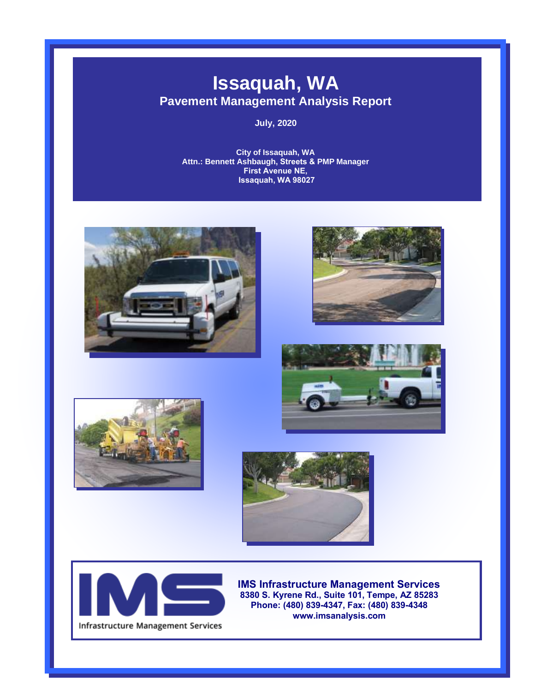# **Issaquah, WA Pavement Management Analysis Report**

**July, 2020** 

**City of Issaquah, WA Attn.: Bennett Ashbaugh, Streets & PMP Manager First Avenue NE, Issaquah, WA 98027**













**IMS Infrastructure Management Services 8380 S. Kyrene Rd., Suite 101, Tempe, AZ 85283 Phone: (480) 839-4347, Fax: (480) 839-4348 www.imsanalysis.com**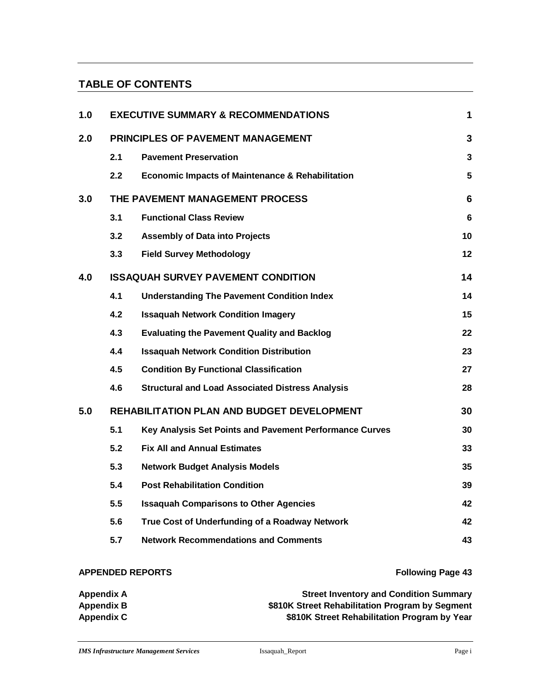## **TABLE OF CONTENTS**

| 1.0 | <b>EXECUTIVE SUMMARY &amp; RECOMMENDATIONS</b>    |                                                             |                |  |  |  |
|-----|---------------------------------------------------|-------------------------------------------------------------|----------------|--|--|--|
| 2.0 | PRINCIPLES OF PAVEMENT MANAGEMENT                 |                                                             |                |  |  |  |
|     | 2.1                                               | <b>Pavement Preservation</b>                                | $\overline{3}$ |  |  |  |
|     | 2.2                                               | <b>Economic Impacts of Maintenance &amp; Rehabilitation</b> | 5              |  |  |  |
| 3.0 | THE PAVEMENT MANAGEMENT PROCESS                   |                                                             |                |  |  |  |
|     | 3.1                                               | <b>Functional Class Review</b>                              | $6\phantom{1}$ |  |  |  |
|     | 3.2                                               | <b>Assembly of Data into Projects</b>                       | 10             |  |  |  |
|     | 3.3                                               | <b>Field Survey Methodology</b>                             | 12             |  |  |  |
| 4.0 | <b>ISSAQUAH SURVEY PAVEMENT CONDITION</b>         |                                                             |                |  |  |  |
|     | 4.1                                               | <b>Understanding The Pavement Condition Index</b>           | 14             |  |  |  |
|     | 4.2                                               | <b>Issaquah Network Condition Imagery</b>                   | 15             |  |  |  |
|     | 4.3                                               | <b>Evaluating the Pavement Quality and Backlog</b>          | 22             |  |  |  |
|     | 4.4                                               | <b>Issaquah Network Condition Distribution</b>              | 23             |  |  |  |
|     | 4.5                                               | <b>Condition By Functional Classification</b>               | 27             |  |  |  |
|     | 4.6                                               | <b>Structural and Load Associated Distress Analysis</b>     | 28             |  |  |  |
| 5.0 | <b>REHABILITATION PLAN AND BUDGET DEVELOPMENT</b> |                                                             |                |  |  |  |
|     | 5.1                                               | Key Analysis Set Points and Pavement Performance Curves     | 30             |  |  |  |
|     | 5.2                                               | <b>Fix All and Annual Estimates</b>                         | 33             |  |  |  |
|     | 5.3                                               | <b>Network Budget Analysis Models</b>                       | 35             |  |  |  |
|     | 5.4                                               | <b>Post Rehabilitation Condition</b>                        | 39             |  |  |  |
|     | 5.5                                               | <b>Issaquah Comparisons to Other Agencies</b>               | 42             |  |  |  |
|     | 5.6                                               | True Cost of Underfunding of a Roadway Network              | 42             |  |  |  |
|     | 5.7                                               | <b>Network Recommendations and Comments</b>                 | 43             |  |  |  |
|     |                                                   |                                                             |                |  |  |  |

### **APPENDED REPORTS Following Page 43**

| Appendix A        | <b>Street Inventory and Condition Summary</b>   |
|-------------------|-------------------------------------------------|
| Appendix B        | \$810K Street Rehabilitation Program by Segment |
| <b>Appendix C</b> | \$810K Street Rehabilitation Program by Year    |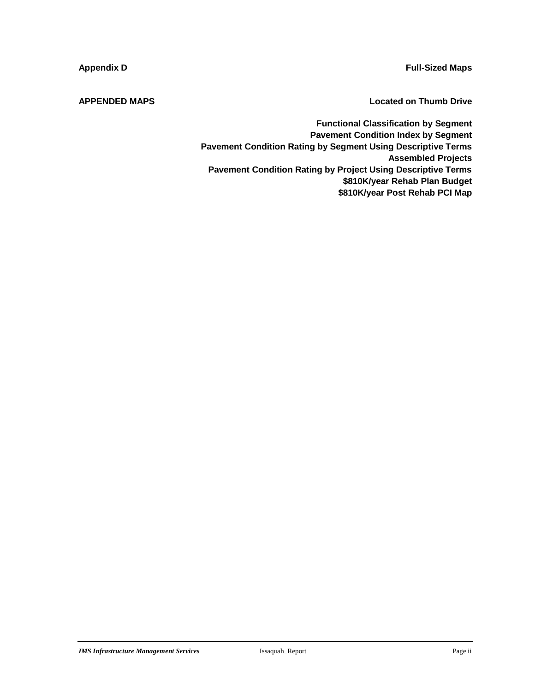**Appendix D Full-Sized Maps**

**APPENDED MAPS Located on Thumb Drive**

**Functional Classification by Segment Pavement Condition Index by Segment Pavement Condition Rating by Segment Using Descriptive Terms Assembled Projects Pavement Condition Rating by Project Using Descriptive Terms \$810K/year Rehab Plan Budget \$810K/year Post Rehab PCI Map**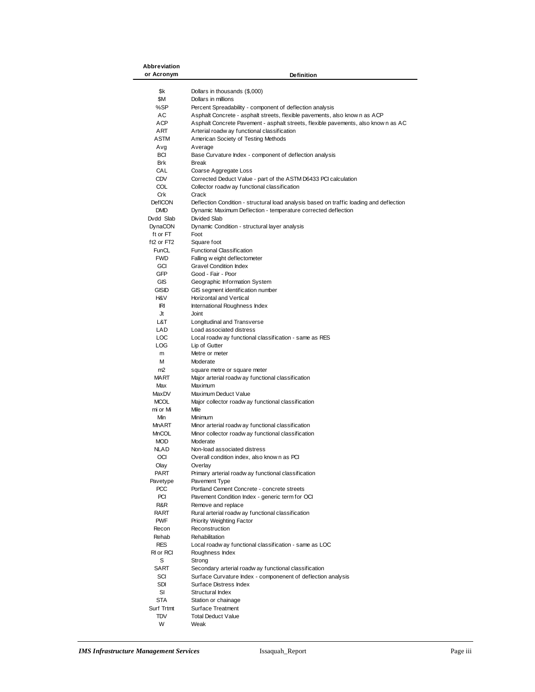| Abbreviation   |                                                                                         |
|----------------|-----------------------------------------------------------------------------------------|
| or Acronym     | Definition                                                                              |
|                |                                                                                         |
| \$k            | Dollars in thousands (\$,000)                                                           |
| \$M            | Dollars in millions                                                                     |
| %SP            |                                                                                         |
|                | Percent Spreadability - component of deflection analysis                                |
| АC             | Asphalt Concrete - asphalt streets, flexible pavements, also know n as ACP              |
| ACP            | Asphalt Concrete Pavement - asphalt streets, flexible pavements, also known as AC       |
| ART            | Arterial roadw ay functional classification                                             |
| ASTM           | American Society of Testing Methods                                                     |
| Avg            | Average                                                                                 |
| <b>BCI</b>     | Base Curvature Index - component of deflection analysis                                 |
| <b>Brk</b>     | Break                                                                                   |
|                |                                                                                         |
| CAL            | Coarse Aggregate Loss                                                                   |
| <b>CDV</b>     | Corrected Deduct Value - part of the ASTM D6433 PCI calculation                         |
| COL            | Collector roadw ay functional classification                                            |
| Crk            | Crack                                                                                   |
| <b>DefICON</b> | Deflection Condition - structural load analysis based on traffic loading and deflection |
| <b>DMD</b>     | Dynamic Maximum Deflection - temperature corrected deflection                           |
| Dvdd Slab      | Divided Slab                                                                            |
| DynaCON        | Dynamic Condition - structural layer analysis                                           |
|                |                                                                                         |
| ft or FT       | Foot                                                                                    |
| ft2 or $FT2$   | Square foot                                                                             |
| FunCL          | <b>Functional Classification</b>                                                        |
| <b>FWD</b>     | Falling w eight deflectometer                                                           |
| GCI            | <b>Gravel Condition Index</b>                                                           |
| GFP            | Good - Fair - Poor                                                                      |
| <b>GIS</b>     | Geographic Information System                                                           |
| GISID          | GIS segment identification number                                                       |
| H&V            | Horizontal and Vertical                                                                 |
| ΙRΙ            | International Roughness Index                                                           |
|                |                                                                                         |
| Jt             | Joint                                                                                   |
| L&T            | Longitudinal and Transverse                                                             |
| LAD            | Load associated distress                                                                |
| LOC            | Local roadw ay functional classification - same as RES                                  |
| LOG            | Lip of Gutter                                                                           |
| m              | Metre or meter                                                                          |
| м              | Moderate                                                                                |
| m <sub>2</sub> | square metre or square meter                                                            |
| MART           | Major arterial roadw ay functional classification                                       |
| Max            | Maximum                                                                                 |
|                |                                                                                         |
| MaxDV          | Maximum Deduct Value                                                                    |
| <b>MCOL</b>    | Major collector roadw ay functional classification                                      |
| mi or Mi       | Mile                                                                                    |
| Min            | Minimum                                                                                 |
| MnART          | Minor arterial roadw ay functional classification                                       |
| <b>MnCOL</b>   | Minor collector roadw ay functional classification                                      |
| <b>MOD</b>     | Moderate                                                                                |
| NLAD           | Non-load associated distress                                                            |
| OCI            |                                                                                         |
|                | Overall condition index, also know n as PCI                                             |
| Olay           | Overlay                                                                                 |
| <b>PART</b>    | Primary arterial roadw ay functional classification                                     |
| Pavetype       | Pavement Type                                                                           |
| <b>PCC</b>     | Portland Cement Concrete - concrete streets                                             |
| PCI            | Pavement Condition Index - generic term for OCI                                         |
| R&R            | Remove and replace                                                                      |
| RART           | Rural arterial roadw ay functional classification                                       |
| <b>PWF</b>     | Priority Weighting Factor                                                               |
| Recon          | Reconstruction                                                                          |
| Rehab          | Rehabilitation                                                                          |
|                |                                                                                         |
| RES            | Local roadw ay functional classification - same as LOC                                  |
| RI or RCI      | Roughness Index                                                                         |
| S              | Strong                                                                                  |
| SART           | Secondary arterial roadw ay functional classification                                   |
| SCI            | Surface Curvature Index - componenent of deflection analysis                            |
| SDI            | Surface Distress Index                                                                  |
| SI             | Structural Index                                                                        |
| STA            | Station or chainage                                                                     |
| Surf Trtmt     | Surface Treatment                                                                       |
| TDV            | <b>Total Deduct Value</b>                                                               |
| W              | Weak                                                                                    |
|                |                                                                                         |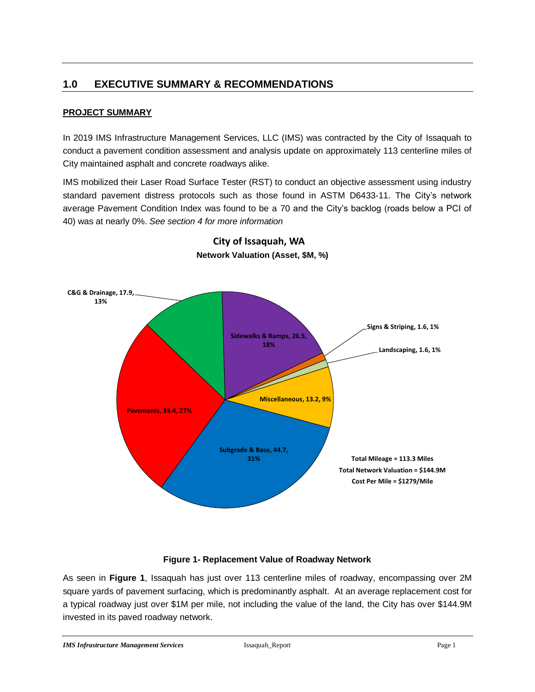## <span id="page-4-0"></span>**1.0 EXECUTIVE SUMMARY & RECOMMENDATIONS**

#### **PROJECT SUMMARY**

In 2019 IMS Infrastructure Management Services, LLC (IMS) was contracted by the City of Issaquah to conduct a pavement condition assessment and analysis update on approximately 113 centerline miles of City maintained asphalt and concrete roadways alike.

IMS mobilized their Laser Road Surface Tester (RST) to conduct an objective assessment using industry standard pavement distress protocols such as those found in ASTM D6433-11. The City's network average Pavement Condition Index was found to be a 70 and the City's backlog (roads below a PCI of 40) was at nearly 0%. *See section 4 for more information*



## **City of Issaquah, WA Network Valuation (Asset, \$M, %)**

#### **Figure 1- Replacement Value of Roadway Network**

As seen in **Figure 1**, Issaquah has just over 113 centerline miles of roadway, encompassing over 2M square yards of pavement surfacing, which is predominantly asphalt. At an average replacement cost for a typical roadway just over \$1M per mile, not including the value of the land, the City has over \$144.9M invested in its paved roadway network.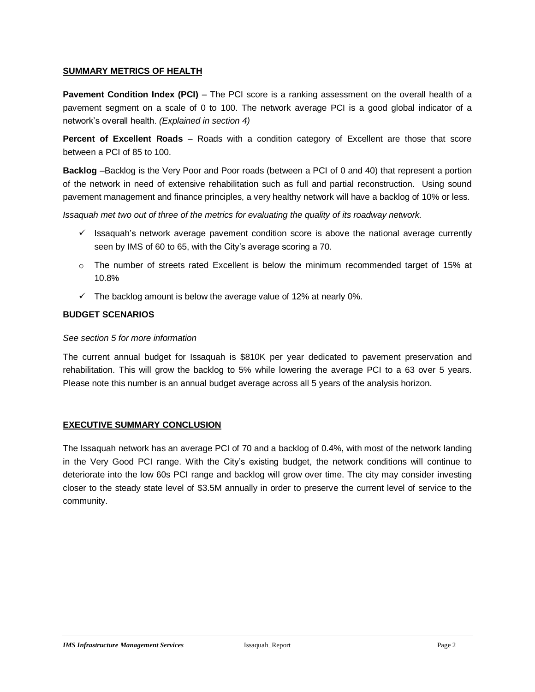#### **SUMMARY METRICS OF HEALTH**

**Pavement Condition Index (PCI)** – The PCI score is a ranking assessment on the overall health of a pavement segment on a scale of 0 to 100. The network average PCI is a good global indicator of a network's overall health. *(Explained in section 4)*

**Percent of Excellent Roads** – Roads with a condition category of Excellent are those that score between a PCI of 85 to 100.

**Backlog** –Backlog is the Very Poor and Poor roads (between a PCI of 0 and 40) that represent a portion of the network in need of extensive rehabilitation such as full and partial reconstruction. Using sound pavement management and finance principles, a very healthy network will have a backlog of 10% or less.

*Issaquah met two out of three of the metrics for evaluating the quality of its roadway network.*

- $\checkmark$  Issaquah's network average pavement condition score is above the national average currently seen by IMS of 60 to 65, with the City's average scoring a 70.
- $\circ$  The number of streets rated Excellent is below the minimum recommended target of 15% at 10.8%
- $\checkmark$  The backlog amount is below the average value of 12% at nearly 0%.

#### **BUDGET SCENARIOS**

#### *See section 5 for more information*

The current annual budget for Issaquah is \$810K per year dedicated to pavement preservation and rehabilitation. This will grow the backlog to 5% while lowering the average PCI to a 63 over 5 years. Please note this number is an annual budget average across all 5 years of the analysis horizon.

#### **EXECUTIVE SUMMARY CONCLUSION**

The Issaquah network has an average PCI of 70 and a backlog of 0.4%, with most of the network landing in the Very Good PCI range. With the City's existing budget, the network conditions will continue to deteriorate into the low 60s PCI range and backlog will grow over time. The city may consider investing closer to the steady state level of \$3.5M annually in order to preserve the current level of service to the community.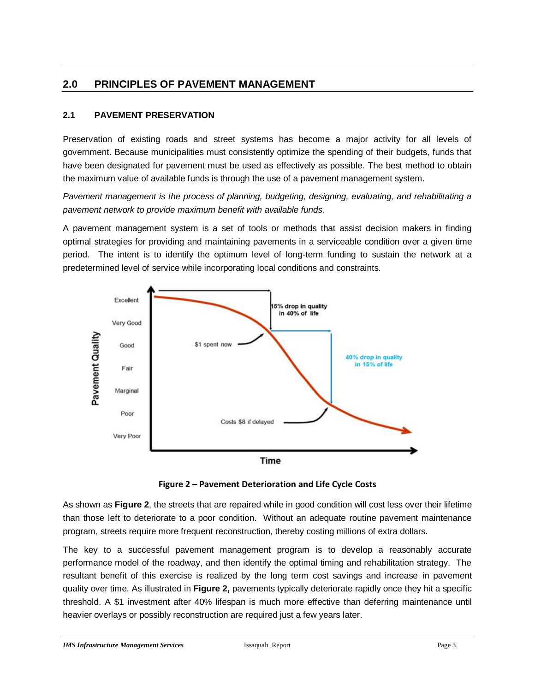## <span id="page-6-0"></span>**2.0 PRINCIPLES OF PAVEMENT MANAGEMENT**

### <span id="page-6-1"></span>**2.1 PAVEMENT PRESERVATION**

Preservation of existing roads and street systems has become a major activity for all levels of government. Because municipalities must consistently optimize the spending of their budgets, funds that have been designated for pavement must be used as effectively as possible. The best method to obtain the maximum value of available funds is through the use of a pavement management system.

*Pavement management is the process of planning, budgeting, designing, evaluating, and rehabilitating a pavement network to provide maximum benefit with available funds.*

A pavement management system is a set of tools or methods that assist decision makers in finding optimal strategies for providing and maintaining pavements in a serviceable condition over a given time period. The intent is to identify the optimum level of long-term funding to sustain the network at a predetermined level of service while incorporating local conditions and constraints.



**Figure 2 – Pavement Deterioration and Life Cycle Costs**

As shown as **Figure 2**, the streets that are repaired while in good condition will cost less over their lifetime than those left to deteriorate to a poor condition. Without an adequate routine pavement maintenance program, streets require more frequent reconstruction, thereby costing millions of extra dollars.

The key to a successful pavement management program is to develop a reasonably accurate performance model of the roadway, and then identify the optimal timing and rehabilitation strategy. The resultant benefit of this exercise is realized by the long term cost savings and increase in pavement quality over time. As illustrated in **Figure 2,** pavements typically deteriorate rapidly once they hit a specific threshold. A \$1 investment after 40% lifespan is much more effective than deferring maintenance until heavier overlays or possibly reconstruction are required just a few years later.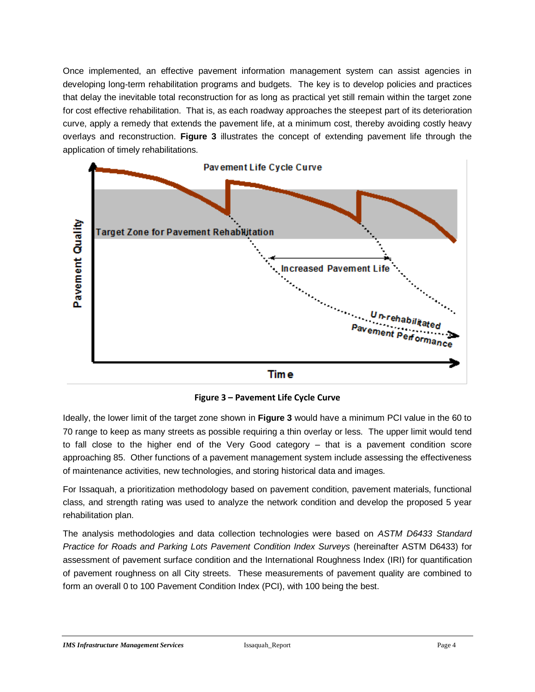Once implemented, an effective pavement information management system can assist agencies in developing long-term rehabilitation programs and budgets. The key is to develop policies and practices that delay the inevitable total reconstruction for as long as practical yet still remain within the target zone for cost effective rehabilitation. That is, as each roadway approaches the steepest part of its deterioration curve, apply a remedy that extends the pavement life, at a minimum cost, thereby avoiding costly heavy overlays and reconstruction. **Figure 3** illustrates the concept of extending pavement life through the application of timely rehabilitations.



**Time** 

**Figure 3 – Pavement Life Cycle Curve**

Ideally, the lower limit of the target zone shown in **Figure 3** would have a minimum PCI value in the 60 to 70 range to keep as many streets as possible requiring a thin overlay or less. The upper limit would tend to fall close to the higher end of the Very Good category – that is a pavement condition score approaching 85. Other functions of a pavement management system include assessing the effectiveness of maintenance activities, new technologies, and storing historical data and images.

For Issaquah, a prioritization methodology based on pavement condition, pavement materials, functional class, and strength rating was used to analyze the network condition and develop the proposed 5 year rehabilitation plan.

The analysis methodologies and data collection technologies were based on *ASTM D6433 Standard Practice for Roads and Parking Lots Pavement Condition Index Surveys* (hereinafter ASTM D6433) for assessment of pavement surface condition and the International Roughness Index (IRI) for quantification of pavement roughness on all City streets. These measurements of pavement quality are combined to form an overall 0 to 100 Pavement Condition Index (PCI), with 100 being the best.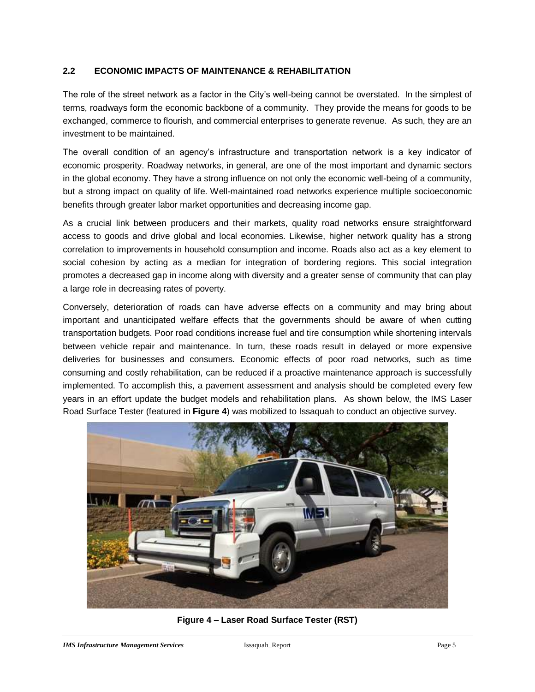#### <span id="page-8-0"></span>**2.2 ECONOMIC IMPACTS OF MAINTENANCE & REHABILITATION**

The role of the street network as a factor in the City's well-being cannot be overstated. In the simplest of terms, roadways form the economic backbone of a community. They provide the means for goods to be exchanged, commerce to flourish, and commercial enterprises to generate revenue. As such, they are an investment to be maintained.

The overall condition of an agency's infrastructure and transportation network is a key indicator of economic prosperity. Roadway networks, in general, are one of the most important and dynamic sectors in the global economy. They have a strong influence on not only the economic well-being of a community, but a strong impact on quality of life. Well-maintained road networks experience multiple socioeconomic benefits through greater labor market opportunities and decreasing income gap.

As a crucial link between producers and their markets, quality road networks ensure straightforward access to goods and drive global and local economies. Likewise, higher network quality has a strong correlation to improvements in household consumption and income. Roads also act as a key element to social cohesion by acting as a median for integration of bordering regions. This social integration promotes a decreased gap in income along with diversity and a greater sense of community that can play a large role in decreasing rates of poverty.

Conversely, deterioration of roads can have adverse effects on a community and may bring about important and unanticipated welfare effects that the governments should be aware of when cutting transportation budgets. Poor road conditions increase fuel and tire consumption while shortening intervals between vehicle repair and maintenance. In turn, these roads result in delayed or more expensive deliveries for businesses and consumers. Economic effects of poor road networks, such as time consuming and costly rehabilitation, can be reduced if a proactive maintenance approach is successfully implemented. To accomplish this, a pavement assessment and analysis should be completed every few years in an effort update the budget models and rehabilitation plans. As shown below, the IMS Laser Road Surface Tester (featured in **Figure 4**) was mobilized to Issaquah to conduct an objective survey.



**Figure 4 – Laser Road Surface Tester (RST)**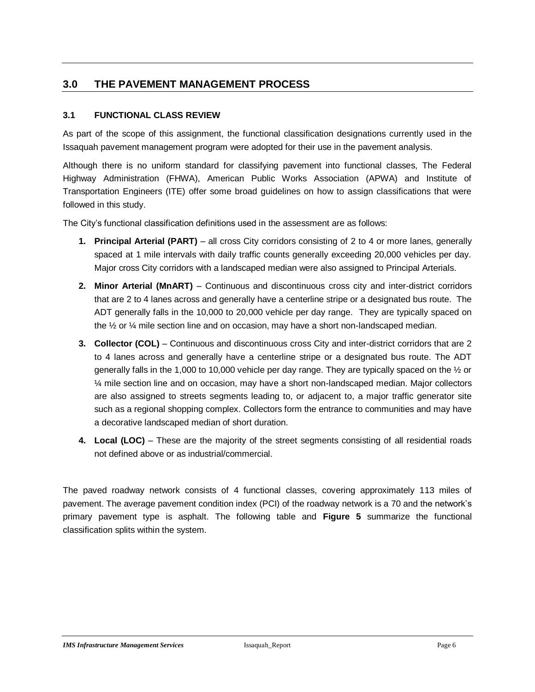## <span id="page-9-0"></span>**3.0 THE PAVEMENT MANAGEMENT PROCESS**

### <span id="page-9-1"></span>**3.1 FUNCTIONAL CLASS REVIEW**

As part of the scope of this assignment, the functional classification designations currently used in the Issaquah pavement management program were adopted for their use in the pavement analysis.

Although there is no uniform standard for classifying pavement into functional classes, The Federal Highway Administration (FHWA), American Public Works Association (APWA) and Institute of Transportation Engineers (ITE) offer some broad guidelines on how to assign classifications that were followed in this study.

The City's functional classification definitions used in the assessment are as follows:

- **1. Principal Arterial (PART)** all cross City corridors consisting of 2 to 4 or more lanes, generally spaced at 1 mile intervals with daily traffic counts generally exceeding 20,000 vehicles per day. Major cross City corridors with a landscaped median were also assigned to Principal Arterials.
- **2. Minor Arterial (MnART)**  Continuous and discontinuous cross city and inter-district corridors that are 2 to 4 lanes across and generally have a centerline stripe or a designated bus route. The ADT generally falls in the 10,000 to 20,000 vehicle per day range. They are typically spaced on the ½ or ¼ mile section line and on occasion, may have a short non-landscaped median.
- **3. Collector (COL)** Continuous and discontinuous cross City and inter-district corridors that are 2 to 4 lanes across and generally have a centerline stripe or a designated bus route. The ADT generally falls in the 1,000 to 10,000 vehicle per day range. They are typically spaced on the ½ or ¼ mile section line and on occasion, may have a short non-landscaped median. Major collectors are also assigned to streets segments leading to, or adjacent to, a major traffic generator site such as a regional shopping complex. Collectors form the entrance to communities and may have a decorative landscaped median of short duration.
- **4. Local (LOC)**  These are the majority of the street segments consisting of all residential roads not defined above or as industrial/commercial.

The paved roadway network consists of 4 functional classes, covering approximately 113 miles of pavement. The average pavement condition index (PCI) of the roadway network is a 70 and the network's primary pavement type is asphalt. The following table and **Figure 5** summarize the functional classification splits within the system.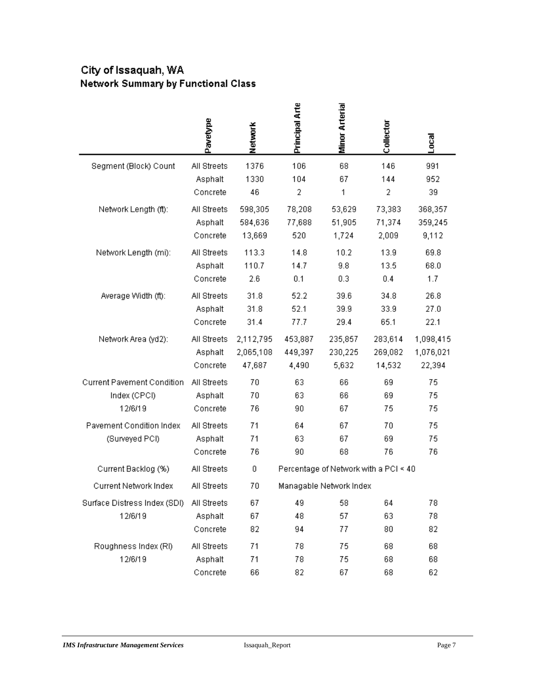## City of Issaquah, WA **Network Summary by Functional Class**

|                                   | Pavetype    | Network   | Principal Arte | Minor Arterial                        | Collector | Local     |
|-----------------------------------|-------------|-----------|----------------|---------------------------------------|-----------|-----------|
| Segment (Block) Count             | All Streets | 1376      | 106            | 68                                    | 146       | 991       |
|                                   | Asphalt     | 1330      | 104            | 67                                    | 144       | 952       |
|                                   | Concrete    | 46        | 2              | 1                                     | 2         | 39        |
| Network Length (ft):              | All Streets | 598,305   | 78,208         | 53,629                                | 73,383    | 368,357   |
|                                   | Asphalt     | 584,636   | 77,688         | 51,905                                | 71,374    | 359,245   |
|                                   | Concrete    | 13,669    | 520            | 1,724                                 | 2,009     | 9,112     |
| Network Length (mi):              | All Streets | 113.3     | 14.8           | 10.2                                  | 13.9      | 69.8      |
|                                   | Asphalt     | 110.7     | 14.7           | 9.8                                   | 13.5      | 68.0      |
|                                   | Concrete    | 2.6       | 0.1            | 0.3                                   | 0.4       | 1.7       |
| Average Width (ft):               | All Streets | 31.8      | 52.2           | 39.6                                  | 34.8      | 26.8      |
|                                   | Asphalt     | 31.8      | 52.1           | 39.9                                  | 33.9      | 27.0      |
|                                   | Concrete    | 31.4      | 77.7           | 29.4                                  | 65.1      | 22.1      |
| Network Area (yd2):               | All Streets | 2,112,795 | 453,887        | 235,857                               | 283,614   | 1,098,415 |
|                                   | Asphalt     | 2,065,108 | 449,397        | 230,225                               | 269,082   | 1,076,021 |
|                                   | Concrete    | 47,687    | 4,490          | 5,632                                 | 14,532    | 22,394    |
| <b>Current Pavement Condition</b> | All Streets | 70        | 63             | 66                                    | 69        | 75        |
| Index (CPCI)                      | Asphalt     | 70        | 63             | 66                                    | 69        | 75        |
| 12/6/19                           | Concrete    | 76        | 90             | 67                                    | 75        | 75        |
| Pavement Condition Index          | All Streets | 71        | 64             | 67                                    | 70        | 75        |
| (Surveyed PCI)                    | Asphalt     | 71        | 63             | 67                                    | 69        | 75        |
|                                   | Concrete    | 76        | 90             | 68                                    | 76        | 76        |
| Current Backlog (%)               | All Streets | 0         |                | Percentage of Network with a PCI < 40 |           |           |
| Current Network Index             | All Streets | 70        |                | Managable Network Index               |           |           |
| Surface Distress Index (SDI)      | All Streets | 67        | 49             | 58                                    | 64        | 78        |
| 12/6/19                           | Asphalt     | 67        | 48             | 57                                    | 63        | 78        |
|                                   | Concrete    | 82        | 94             | 77                                    | 80        | 82        |
| Roughness Index (RI)              | All Streets | 71        | 78             | 75                                    | 68        | 68        |
| 12/6/19                           | Asphalt     | 71        | 78             | 75                                    | 68        | 68        |
|                                   | Concrete    | 66        | 82             | 67                                    | 68        | 62        |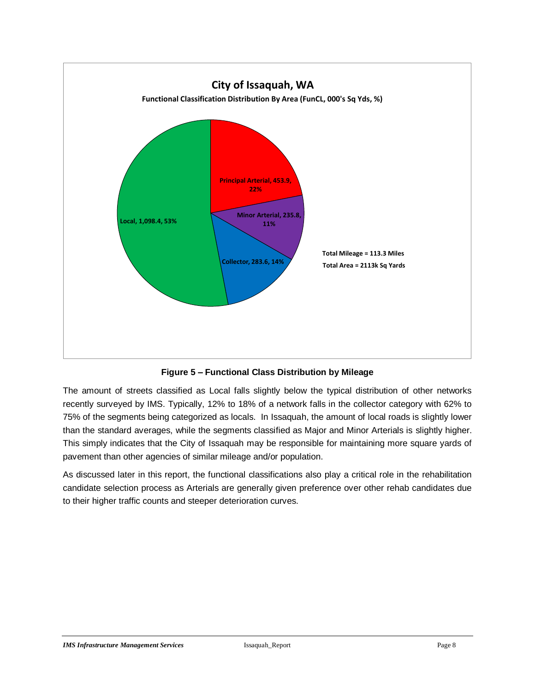

**Figure 5 – Functional Class Distribution by Mileage**

The amount of streets classified as Local falls slightly below the typical distribution of other networks recently surveyed by IMS. Typically, 12% to 18% of a network falls in the collector category with 62% to 75% of the segments being categorized as locals. In Issaquah, the amount of local roads is slightly lower than the standard averages, while the segments classified as Major and Minor Arterials is slightly higher. This simply indicates that the City of Issaquah may be responsible for maintaining more square yards of pavement than other agencies of similar mileage and/or population.

As discussed later in this report, the functional classifications also play a critical role in the rehabilitation candidate selection process as Arterials are generally given preference over other rehab candidates due to their higher traffic counts and steeper deterioration curves.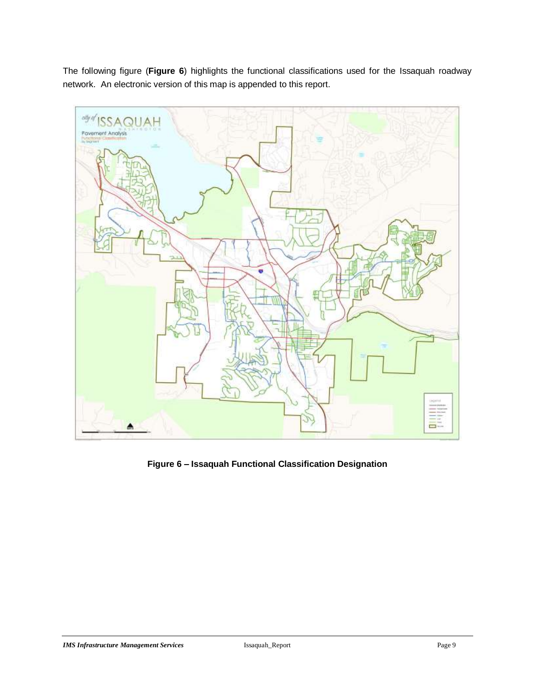The following figure (**Figure 6**) highlights the functional classifications used for the Issaquah roadway network. An electronic version of this map is appended to this report.



**Figure 6 – Issaquah Functional Classification Designation**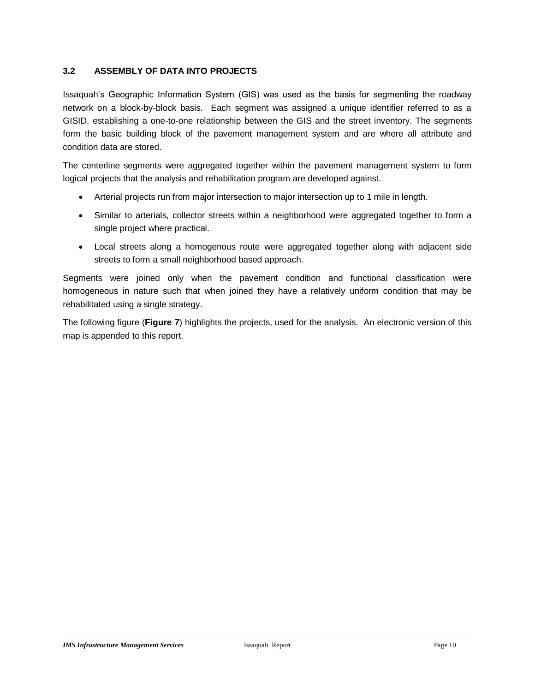#### <span id="page-13-0"></span>**3.2 ASSEMBLY OF DATA INTO PROJECTS**

Issaquah's Geographic Information System (GIS) was used as the basis for segmenting the roadway network on a block-by-block basis. Each segment was assigned a unique identifier referred to as a GISID, establishing a one-to-one relationship between the GIS and the street inventory. The segments form the basic building block of the pavement management system and are where all attribute and condition data are stored.

The centerline segments were aggregated together within the pavement management system to form logical projects that the analysis and rehabilitation program are developed against.

- Arterial projects run from major intersection to major intersection up to 1 mile in length.
- Similar to arterials, collector streets within a neighborhood were aggregated together to form a single project where practical.
- Local streets along a homogenous route were aggregated together along with adjacent side streets to form a small neighborhood based approach.

Segments were joined only when the pavement condition and functional classification were homogeneous in nature such that when joined they have a relatively uniform condition that may be rehabilitated using a single strategy.

The following figure (**Figure 7**) highlights the projects, used for the analysis. An electronic version of this map is appended to this report.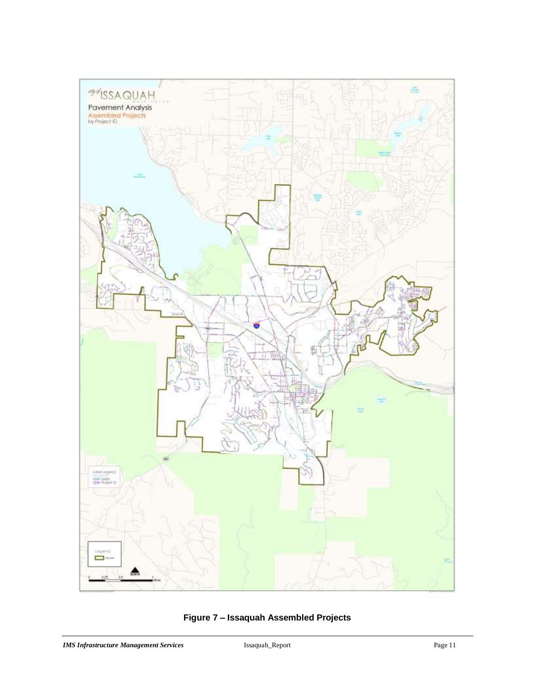

**Figure 7 – Issaquah Assembled Projects**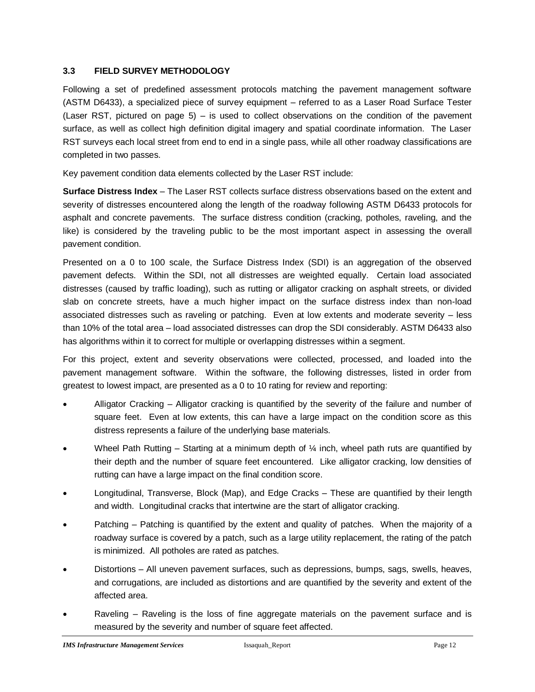#### <span id="page-15-0"></span>**3.3 FIELD SURVEY METHODOLOGY**

Following a set of predefined assessment protocols matching the pavement management software (ASTM D6433), a specialized piece of survey equipment – referred to as a Laser Road Surface Tester (Laser RST, pictured on page 5) – is used to collect observations on the condition of the pavement surface, as well as collect high definition digital imagery and spatial coordinate information. The Laser RST surveys each local street from end to end in a single pass, while all other roadway classifications are completed in two passes.

Key pavement condition data elements collected by the Laser RST include:

**Surface Distress Index** – The Laser RST collects surface distress observations based on the extent and severity of distresses encountered along the length of the roadway following ASTM D6433 protocols for asphalt and concrete pavements. The surface distress condition (cracking, potholes, raveling, and the like) is considered by the traveling public to be the most important aspect in assessing the overall pavement condition.

Presented on a 0 to 100 scale, the Surface Distress Index (SDI) is an aggregation of the observed pavement defects. Within the SDI, not all distresses are weighted equally. Certain load associated distresses (caused by traffic loading), such as rutting or alligator cracking on asphalt streets, or divided slab on concrete streets, have a much higher impact on the surface distress index than non-load associated distresses such as raveling or patching. Even at low extents and moderate severity – less than 10% of the total area – load associated distresses can drop the SDI considerably. ASTM D6433 also has algorithms within it to correct for multiple or overlapping distresses within a segment.

For this project, extent and severity observations were collected, processed, and loaded into the pavement management software. Within the software, the following distresses, listed in order from greatest to lowest impact, are presented as a 0 to 10 rating for review and reporting:

- Alligator Cracking Alligator cracking is quantified by the severity of the failure and number of square feet. Even at low extents, this can have a large impact on the condition score as this distress represents a failure of the underlying base materials.
- Wheel Path Rutting Starting at a minimum depth of  $\frac{1}{4}$  inch, wheel path ruts are quantified by their depth and the number of square feet encountered. Like alligator cracking, low densities of rutting can have a large impact on the final condition score.
- Longitudinal, Transverse, Block (Map), and Edge Cracks These are quantified by their length and width. Longitudinal cracks that intertwine are the start of alligator cracking.
- Patching Patching is quantified by the extent and quality of patches. When the majority of a roadway surface is covered by a patch, such as a large utility replacement, the rating of the patch is minimized. All potholes are rated as patches.
- Distortions All uneven pavement surfaces, such as depressions, bumps, sags, swells, heaves, and corrugations, are included as distortions and are quantified by the severity and extent of the affected area.
- Raveling Raveling is the loss of fine aggregate materials on the pavement surface and is measured by the severity and number of square feet affected.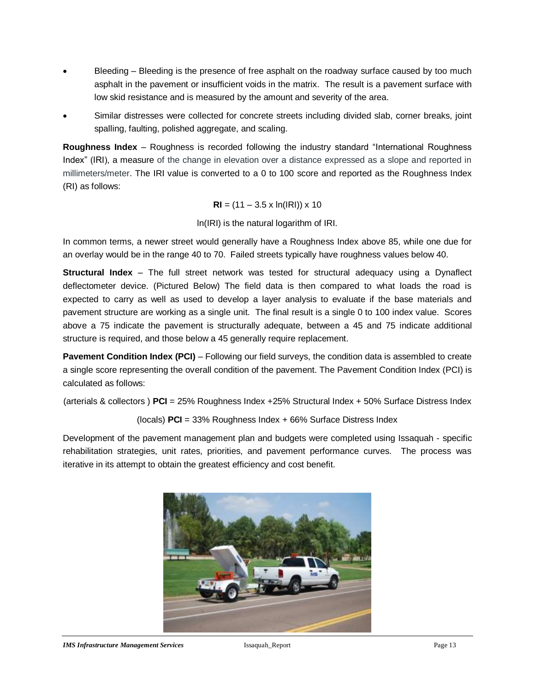- Bleeding Bleeding is the presence of free asphalt on the roadway surface caused by too much asphalt in the pavement or insufficient voids in the matrix. The result is a pavement surface with low skid resistance and is measured by the amount and severity of the area.
- Similar distresses were collected for concrete streets including divided slab, corner breaks, joint spalling, faulting, polished aggregate, and scaling.

**Roughness Index** – Roughness is recorded following the industry standard "International Roughness Index" (IRI), a measure of the change in elevation over a distance expressed as a slope and reported in millimeters/meter. The IRI value is converted to a 0 to 100 score and reported as the Roughness Index (RI) as follows:

$$
RI = (11 - 3.5 \times \ln(\text{IRI})) \times 10
$$

ln(IRI) is the natural logarithm of IRI.

In common terms, a newer street would generally have a Roughness Index above 85, while one due for an overlay would be in the range 40 to 70. Failed streets typically have roughness values below 40.

**Structural Index** *–* The full street network was tested for structural adequacy using a Dynaflect deflectometer device. (Pictured Below) The field data is then compared to what loads the road is expected to carry as well as used to develop a layer analysis to evaluate if the base materials and pavement structure are working as a single unit. The final result is a single 0 to 100 index value. Scores above a 75 indicate the pavement is structurally adequate, between a 45 and 75 indicate additional structure is required, and those below a 45 generally require replacement.

**Pavement Condition Index (PCI)** – Following our field surveys, the condition data is assembled to create a single score representing the overall condition of the pavement. The Pavement Condition Index (PCI) is calculated as follows:

(arterials & collectors ) **PCI** = 25% Roughness Index +25% Structural Index + 50% Surface Distress Index

(locals) **PCI** = 33% Roughness Index + 66% Surface Distress Index

Development of the pavement management plan and budgets were completed using Issaquah - specific rehabilitation strategies, unit rates, priorities, and pavement performance curves. The process was iterative in its attempt to obtain the greatest efficiency and cost benefit.